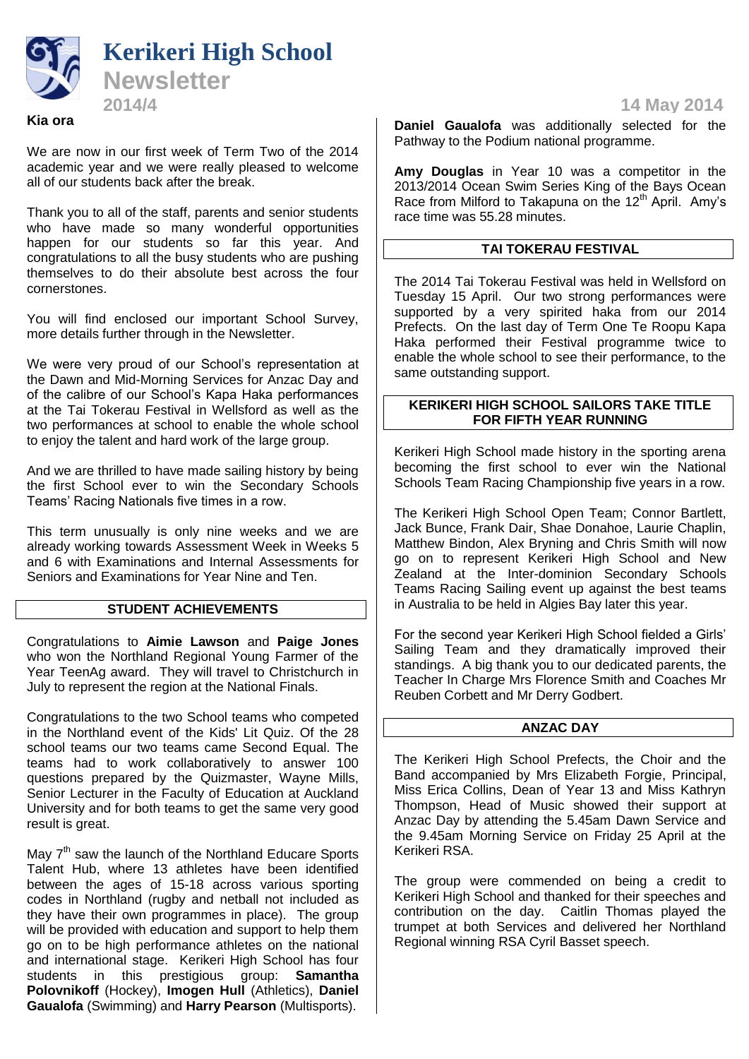

# **Kia ora**

We are now in our first week of Term Two of the 2014 academic year and we were really pleased to welcome all of our students back after the break.

Thank you to all of the staff, parents and senior students who have made so many wonderful opportunities happen for our students so far this year. And congratulations to all the busy students who are pushing themselves to do their absolute best across the four cornerstones.

You will find enclosed our important School Survey, more details further through in the Newsletter.

We were very proud of our School's representation at the Dawn and Mid-Morning Services for Anzac Day and of the calibre of our School's Kapa Haka performances at the Tai Tokerau Festival in Wellsford as well as the two performances at school to enable the whole school to enjoy the talent and hard work of the large group.

And we are thrilled to have made sailing history by being the first School ever to win the Secondary Schools Teams' Racing Nationals five times in a row.

This term unusually is only nine weeks and we are already working towards Assessment Week in Weeks 5 and 6 with Examinations and Internal Assessments for Seniors and Examinations for Year Nine and Ten.

## **STUDENT ACHIEVEMENTS**

Congratulations to **Aimie Lawson** and **Paige Jones** who won the Northland Regional Young Farmer of the Year TeenAg award. They will travel to Christchurch in July to represent the region at the National Finals.

Congratulations to the two School teams who competed in the Northland event of the Kids' Lit Quiz. Of the 28 school teams our two teams came Second Equal. The teams had to work collaboratively to answer 100 questions prepared by the Quizmaster, Wayne Mills, Senior Lecturer in the Faculty of Education at Auckland University and for both teams to get the same very good result is great.

May 7<sup>th</sup> saw the launch of the Northland Educare Sports Talent Hub, where 13 athletes have been identified between the ages of 15-18 across various sporting codes in Northland (rugby and netball not included as they have their own programmes in place). The group will be provided with education and support to help them go on to be high performance athletes on the national and international stage. Kerikeri High School has four students in this prestigious group: **Samantha Polovnikoff** (Hockey), **Imogen Hull** (Athletics), **Daniel Gaualofa** (Swimming) and **Harry Pearson** (Multisports).

**Daniel Gaualofa** was additionally selected for the Pathway to the Podium national programme.

**Amy Douglas** in Year 10 was a competitor in the 2013/2014 Ocean Swim Series King of the Bays Ocean Race from Milford to Takapuna on the  $12<sup>th</sup>$  April. Amy's race time was 55.28 minutes.

## **TAI TOKERAU FESTIVAL**

The 2014 Tai Tokerau Festival was held in Wellsford on Tuesday 15 April. Our two strong performances were supported by a very spirited haka from our 2014 Prefects. On the last day of Term One Te Roopu Kapa Haka performed their Festival programme twice to enable the whole school to see their performance, to the same outstanding support.

#### **KERIKERI HIGH SCHOOL SAILORS TAKE TITLE FOR FIFTH YEAR RUNNING**

Kerikeri High School made history in the sporting arena becoming the first school to ever win the National Schools Team Racing Championship five years in a row.

The Kerikeri High School Open Team; Connor Bartlett, Jack Bunce, Frank Dair, Shae Donahoe, Laurie Chaplin, Matthew Bindon, Alex Bryning and Chris Smith will now go on to represent Kerikeri High School and New Zealand at the Inter-dominion Secondary Schools Teams Racing Sailing event up against the best teams in Australia to be held in Algies Bay later this year.

For the second year Kerikeri High School fielded a Girls' Sailing Team and they dramatically improved their standings. A big thank you to our dedicated parents, the Teacher In Charge Mrs Florence Smith and Coaches Mr Reuben Corbett and Mr Derry Godbert.

## **ANZAC DAY**

The Kerikeri High School Prefects, the Choir and the Band accompanied by Mrs Elizabeth Forgie, Principal, Miss Erica Collins, Dean of Year 13 and Miss Kathryn Thompson, Head of Music showed their support at Anzac Day by attending the 5.45am Dawn Service and the 9.45am Morning Service on Friday 25 April at the Kerikeri RSA.

The group were commended on being a credit to Kerikeri High School and thanked for their speeches and contribution on the day. Caitlin Thomas played the trumpet at both Services and delivered her Northland Regional winning RSA Cyril Basset speech.